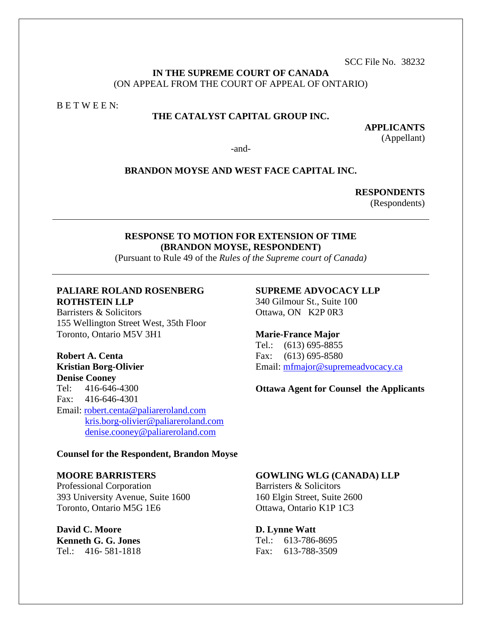SCC File No. 38232

### **IN THE SUPREME COURT OF CANADA** (ON APPEAL FROM THE COURT OF APPEAL OF ONTARIO)

B E T W E E N:

# **THE CATALYST CAPITAL GROUP INC.**

**APPLICANTS** (Appellant)

-and-

### **BRANDON MOYSE AND WEST FACE CAPITAL INC.**

**RESPONDENTS**

(Respondents)

### **RESPONSE TO MOTION FOR EXTENSION OF TIME (BRANDON MOYSE, RESPONDENT)**

(Pursuant to Rule 49 of the *Rules of the Supreme court of Canada)*

# **PALIARE ROLAND ROSENBERG ROTHSTEIN LLP**

Barristers & Solicitors 155 Wellington Street West, 35th Floor Toronto, Ontario M5V 3H1

**Robert A. Centa Kristian Borg-Olivier Denise Cooney** Tel: 416-646-4300 Fax: 416-646-4301 Email: [robert.centa@paliareroland.com](mailto:robert.centa@paliareroland.com) [kris.borg-olivier@paliareroland.com](mailto:kris.borg-olivier@paliareroland.com) [denise.cooney@paliareroland.com](mailto:denise.cooney@paliareroland.com)

### **SUPREME ADVOCACY LLP** 340 Gilmour St., Suite 100

Ottawa, ON K2P 0R3

# **Marie-France Major**

Tel.: (613) 695-8855 Fax: (613) 695-8580 Email: [mfmajor@supremeadvocacy.ca](mailto:mfmajor@supremeadvocacy.ca)

#### **Ottawa Agent for Counsel the Applicants**

#### **Counsel for the Respondent, Brandon Moyse**

#### **MOORE BARRISTERS**

Professional Corporation 393 University Avenue, Suite 1600 Toronto, Ontario M5G 1E6

**David C. Moore Kenneth G. G. Jones** Tel.: 416- 581-1818

### **GOWLING WLG (CANADA) LLP**

Barristers & Solicitors 160 Elgin Street, Suite 2600 Ottawa, Ontario K1P 1C3

**D. Lynne Watt**

Tel.: 613-786-8695 Fax: 613-788-3509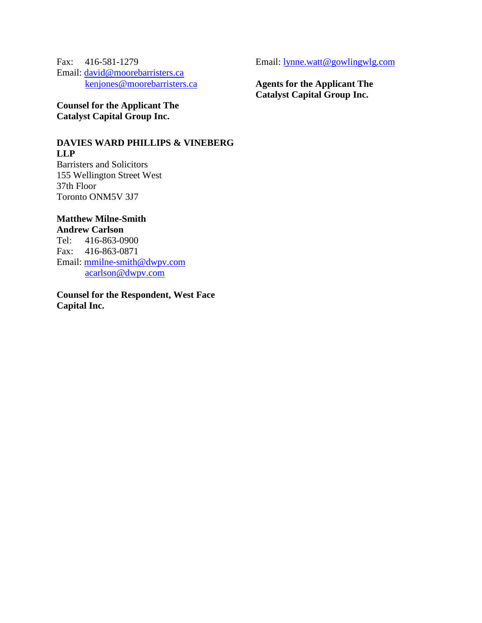Fax: 416-581-1279 Email: [david@moorebarristers.ca](mailto:david@moorebarristers.ca) [kenjones@moorebarristers.ca](mailto:kenjones@moorebarristers.ca)

**Counsel for the Applicant The Catalyst Capital Group Inc.**

**DAVIES WARD PHILLIPS & VINEBERG LLP** Barristers and Solicitors

155 Wellington Street West 37th Floor Toronto ONM5V 3J7

### **Matthew Milne-Smith Andrew Carlson**

Tel: 416-863-0900 Fax: 416-863-0871 Email: [mmilne-smith@dwpv.com](mailto:mmilne-smith@dwpv.com) [acarlson@dwpv.com](mailto:acarlson@dwpv.com)

**Counsel for the Respondent, West Face Capital Inc.**

Email: [lynne.watt@gowlingwlg.com](mailto:lynne.watt@gowlingwlg.com)

**Agents for the Applicant The Catalyst Capital Group Inc.**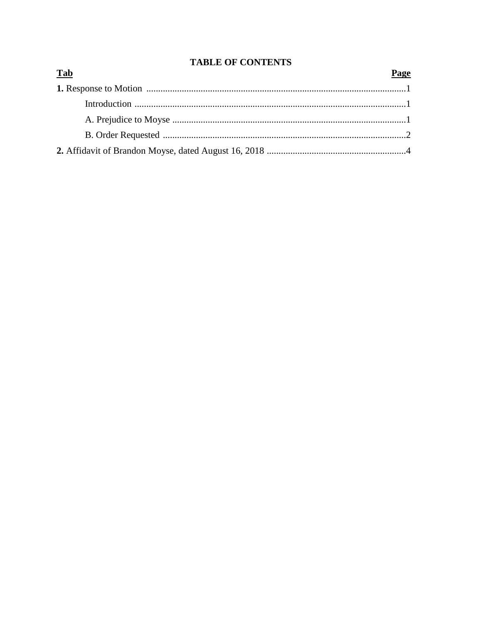# **TABLE OF CONTENTS**

| <b>Tab</b> | Page |
|------------|------|
|            |      |
|            |      |
|            |      |
|            |      |
|            |      |

# $P_2$  $\sigma$ e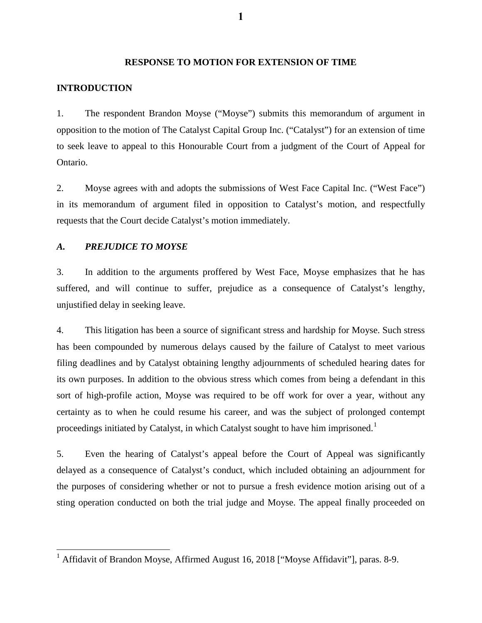### **RESPONSE TO MOTION FOR EXTENSION OF TIME**

### **INTRODUCTION**

1. The respondent Brandon Moyse ("Moyse") submits this memorandum of argument in opposition to the motion of The Catalyst Capital Group Inc. ("Catalyst") for an extension of time to seek leave to appeal to this Honourable Court from a judgment of the Court of Appeal for Ontario.

2. Moyse agrees with and adopts the submissions of West Face Capital Inc. ("West Face") in its memorandum of argument filed in opposition to Catalyst's motion, and respectfully requests that the Court decide Catalyst's motion immediately.

### *A. PREJUDICE TO MOYSE*

 $\overline{\phantom{a}}$ 

3. In addition to the arguments proffered by West Face, Moyse emphasizes that he has suffered, and will continue to suffer, prejudice as a consequence of Catalyst's lengthy, unjustified delay in seeking leave.

4. This litigation has been a source of significant stress and hardship for Moyse. Such stress has been compounded by numerous delays caused by the failure of Catalyst to meet various filing deadlines and by Catalyst obtaining lengthy adjournments of scheduled hearing dates for its own purposes. In addition to the obvious stress which comes from being a defendant in this sort of high-profile action, Moyse was required to be off work for over a year, without any certainty as to when he could resume his career, and was the subject of prolonged contempt proceedings initiated by Catalyst, in which Catalyst sought to have him imprisoned.<sup>[1](#page-3-0)</sup>

5. Even the hearing of Catalyst's appeal before the Court of Appeal was significantly delayed as a consequence of Catalyst's conduct, which included obtaining an adjournment for the purposes of considering whether or not to pursue a fresh evidence motion arising out of a sting operation conducted on both the trial judge and Moyse. The appeal finally proceeded on

<span id="page-3-0"></span><sup>&</sup>lt;sup>1</sup> Affidavit of Brandon Moyse, Affirmed August 16, 2018 ["Moyse Affidavit"], paras. 8-9.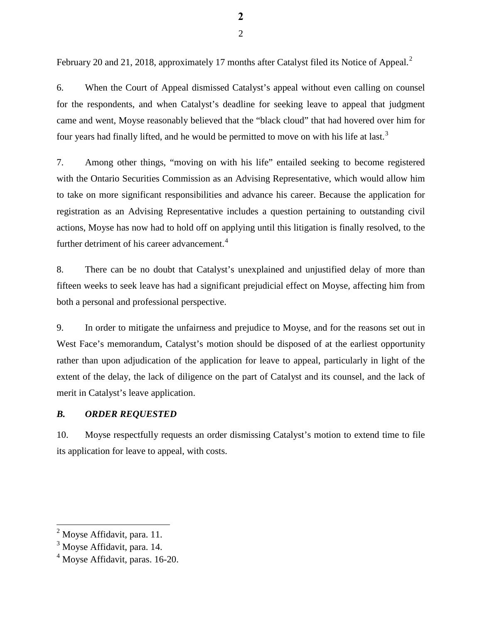February [2](#page-4-0)0 and 21, 2018, approximately 17 months after Catalyst filed its Notice of Appeal.<sup>2</sup>

6. When the Court of Appeal dismissed Catalyst's appeal without even calling on counsel for the respondents, and when Catalyst's deadline for seeking leave to appeal that judgment came and went, Moyse reasonably believed that the "black cloud" that had hovered over him for four years had finally lifted, and he would be permitted to move on with his life at last.<sup>[3](#page-4-1)</sup>

7. Among other things, "moving on with his life" entailed seeking to become registered with the Ontario Securities Commission as an Advising Representative, which would allow him to take on more significant responsibilities and advance his career. Because the application for registration as an Advising Representative includes a question pertaining to outstanding civil actions, Moyse has now had to hold off on applying until this litigation is finally resolved, to the further detriment of his career advancement.<sup>[4](#page-4-2)</sup>

8. There can be no doubt that Catalyst's unexplained and unjustified delay of more than fifteen weeks to seek leave has had a significant prejudicial effect on Moyse, affecting him from both a personal and professional perspective.

9. In order to mitigate the unfairness and prejudice to Moyse, and for the reasons set out in West Face's memorandum, Catalyst's motion should be disposed of at the earliest opportunity rather than upon adjudication of the application for leave to appeal, particularly in light of the extent of the delay, the lack of diligence on the part of Catalyst and its counsel, and the lack of merit in Catalyst's leave application.

### *B. ORDER REQUESTED*

10. Moyse respectfully requests an order dismissing Catalyst's motion to extend time to file its application for leave to appeal, with costs.

 $\overline{\phantom{a}}$ 

<span id="page-4-0"></span> $<sup>2</sup>$  Moyse Affidavit, para. 11.</sup>

<span id="page-4-1"></span><sup>&</sup>lt;sup>3</sup> Moyse Affidavit, para. 14.

<span id="page-4-2"></span><sup>&</sup>lt;sup>4</sup> Moyse Affidavit, paras. 16-20.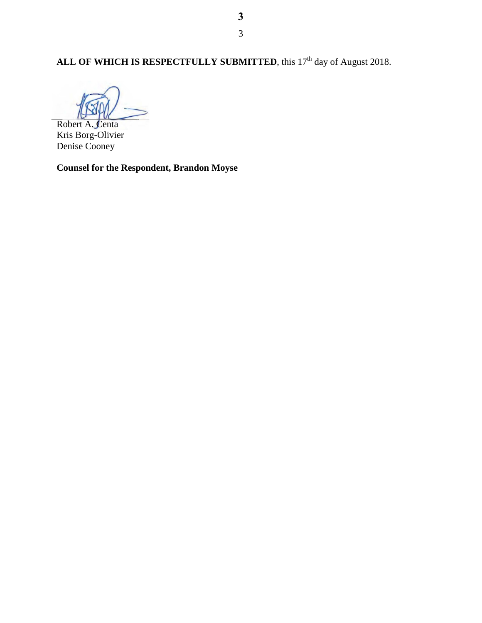# ALL OF WHICH IS RESPECTFULLY SUBMITTED, this 17<sup>th</sup> day of August 2018.

Robert A. Centa

Kris Borg-Olivier Denise Cooney

**Counsel for the Respondent, Brandon Moyse**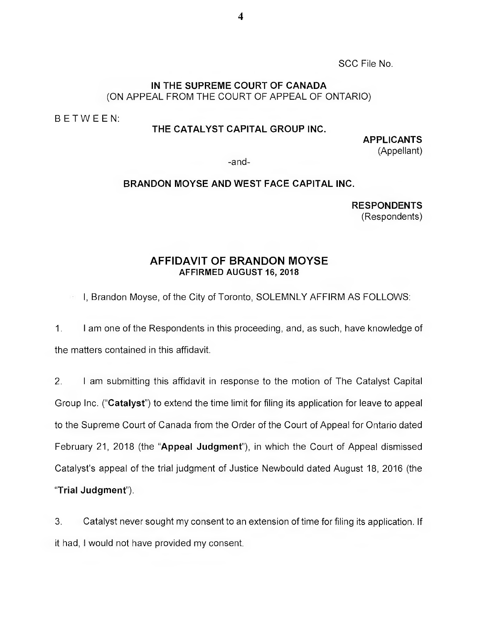SCC File No.

# IN THE SUPREME COURT OF CANADA (ON APPEAL FROM THE COURT OF APPEAL OF ONTARIO)

BETWEEN:

### THE CATALYST CAPITAL GROUP INC.

APPLICANTS (Appellant)

-and--

### BRANDON MOYSE AND WEST FACE CAPITAL INC.

**RESPONDENTS** (Respondents)

# AFFIDAVIT OF BRANDON MOYSE AFFIRMED AUGUST 16, 2018

I, Brandon Moyse, of the City of Toronto, SOLEMNLY AFFIRM AS FOLLOWS:

1. I am one of the Respondents in this proceeding, and, as such, have knowledge of the matters contained in this affidavit.

2. I am submitting this affidavit in response to the motion of The Catalyst Capital Group Inc. ("Catalyst") to extend the time limit for filing its application for leave to appeal to the Supreme Court of Canada from the Order of the Court of Appeal for Ontario dated February 21, 2018 (the "Appeal Judgment"), in which the Court of Appeal dismissed Catalyst's appeal of the trial judgment of Justice Newbould dated August 18, 2016 (the "Trial Judgment").

3. Catalyst never sought my consent to an extension of time for filing its application. If it had, I would not have provided my consent.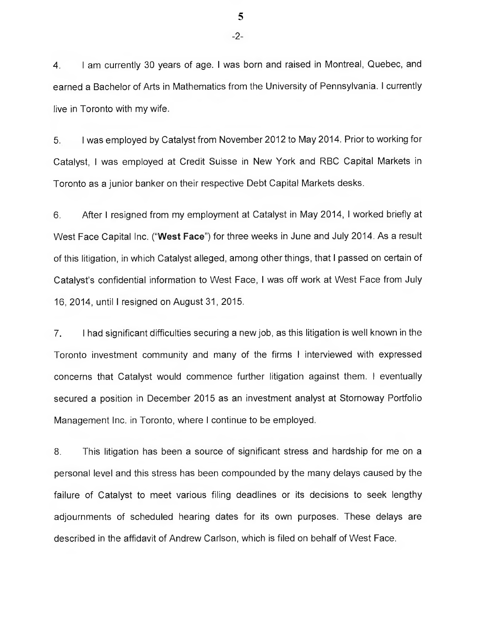4. I am currently 30 years of age. I was born and raised in Montreal, Quebec, and earned a Bachelor of Arts in Mathematics from the University of Pennsylvania. I currently live in Toronto with my wife.

5. I was employed by Catalyst from November 2012 to May 2014. Prior to working for Catalyst, I was employed at Credit Suisse in New York and RBC Capital Markets in Toronto as a junior banker on their respective Debt Capital Markets desks.

6. After I resigned from my employment at Catalyst in May 2014, I worked briefly at West Face Capital Inc. ("West Face") for three weeks in June and July 2014. As a result of this litigation, in which Catalyst alleged, among other things, that I passed on certain of Catalyst's confidential information to West Face, I was off work at West Face from July 16, 2014, until I resigned on August 31, 2015.

7. I had significant difficulties securing a new job, as this litigation is well known in the Toronto investment community and many of the firms I interviewed with expressed concerns that Catalyst would commence further litigation against them. I eventually secured a position in December 2015 as an investment analyst at Stornoway Portfolio Management Inc. in Toronto, where I continue to be employed.

8. This litigation has been a source of significant stress and hardship for me on a personal level and this stress has been compounded by the many delays caused by the failure of Catalyst to meet various filing deadlines or its decisions to seek lengthy adjournments of scheduled hearing dates for its own purposes. These delays are described in the affidavit of Andrew Carlson, which is filed on behalf of West Face.

-2- **5**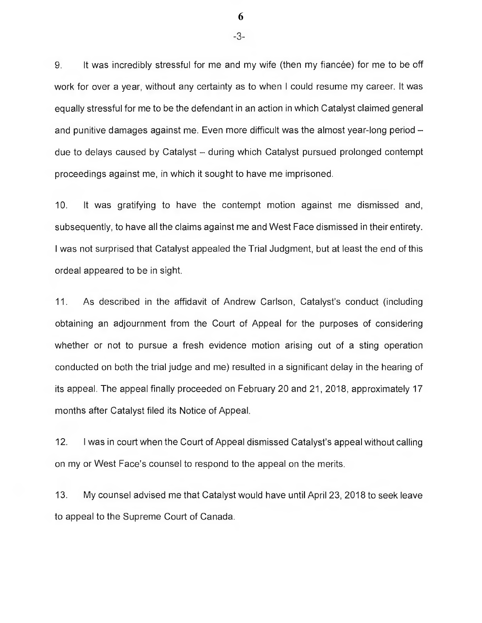9. It was incredibly stressful for me and my wife (then my fiancée) for me to be off work for over a year, without any certainty as to when I could resume my career. It was equally stressful for me to be the defendant in an action in which Catalyst claimed general and punitive damages against me. Even more difficult was the almost year-long period due to delays caused by Catalyst — during which Catalyst pursued prolonged contempt proceedings against me, in which it sought to have me imprisoned.

10. It was gratifying to have the contempt motion against me dismissed and, subsequently, to have all the claims against me and West Face dismissed in their entirety. I was not surprised that Catalyst appealed the Trial Judgment, but at least the end of this ordeal appeared to be in sight.

11. As described in the affidavit of Andrew Carlson, Catalyst's conduct (including obtaining an adjournment from the Court of Appeal for the purposes of considering whether or not to pursue a fresh evidence motion arising out of a sting operation conducted on both the trial judge and me) resulted in a significant delay in the hearing of its appeal. The appeal finally proceeded on February 20 and 21, 2018, approximately 17 months after Catalyst filed its Notice of Appeal.

12. I was in court when the Court of Appeal dismissed Catalyst's appeal without calling on my or West Face's counsel to respond to the appeal on the merits.

13. My counsel advised me that Catalyst would have until April 23, 2018 to seek leave to appeal to the Supreme Court of Canada.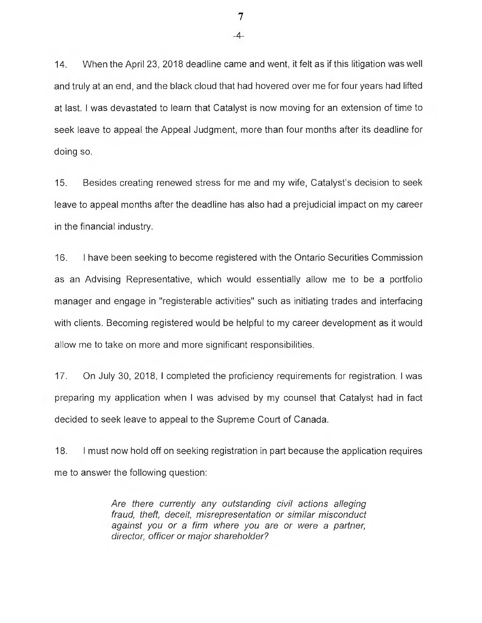14. When the April 23, 2018 deadline came and went, it felt as if this litigation was well and truly at an end, and the black cloud that had hovered over me for four years had lifted at last. l was devastated to learn that Catalyst is now moving for an extension of time to seek leave to appeal the Appeal Judgment, more than four months after its deadline for doing so.

15. Besides creating renewed stress for me and my wife, Catalyst's decision to seek leave to appeal months after the deadline has also had a prejudicial impact on my career in the financial industry.

16. l have been seeking to become registered with the Ontario Securities Commission as an Advising Representative, which would essentially allow me to be a portfolio manager and engage in "registerable activities" such as initiating trades and interfacing with clients. Becoming registered would be helpful to my career development as it would allow me to take on more and more significant responsibilities.

17. On July 30, 2018, l completed the proficiency requirements for registration. l was preparing my application when l was advised by my counsel that Catalyst had in fact decided to seek leave to appeal to the Supreme Court of Canada.

18. l must now hold off on seeking registration in part because the application requires me to answer the following question:

> Are there currently any outstanding civil actions alleging fraud, theft, deceit, misrepresentation or similar misconduct against you or a firm where you are or were a partner, director, officer or major shareholder?

-4- **7**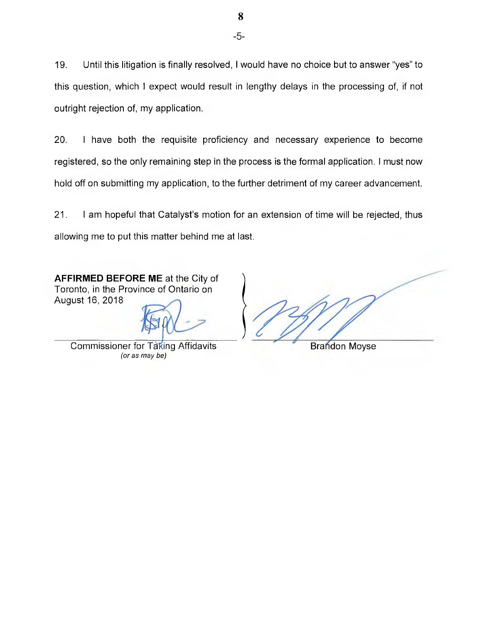19. Until this litigation is finally resolved, I would have no choice but to answer "yes" to this question, which l expect would result in lengthy delays in the processing of, if not outright rejection of, my application.

20. I have both the requisite proficiency and necessary experience to become registered, so the only remaining step in the process is the formal application. l must now hold off on submitting my application, to the further detriment of my career advancement.

21. I am hopeful that Catalyst's motion for an extension of time will be rejected, thus allowing me to put this matter behind me at last.

AFFIRMED BEFORE ME at the City of Toronto, in the Province of Ontario on August 16, 2018

Commissioner for Taking Affidavits **Brandon Moyse** (or as may be)